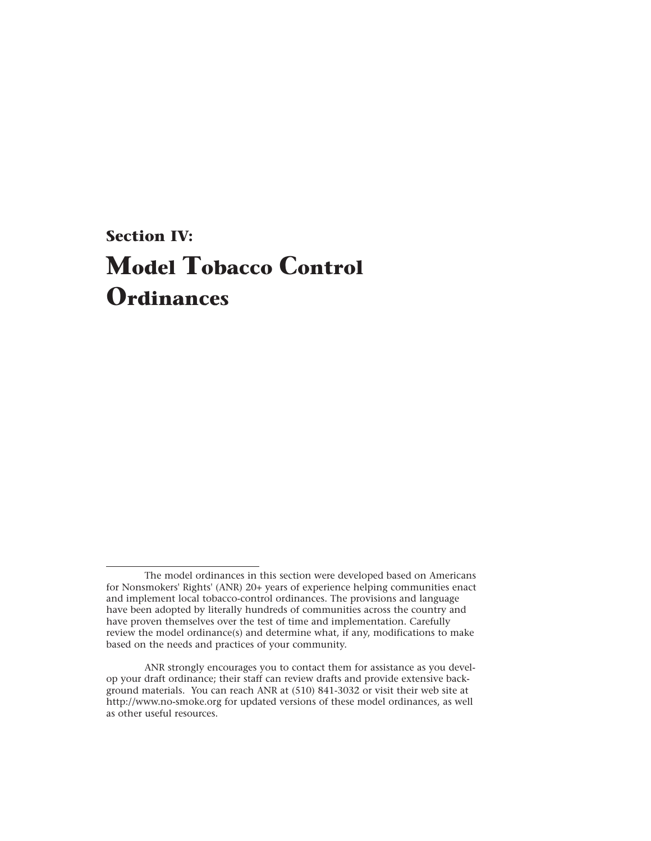# **Section IV: Model Tobacco Control Ordinances**

The model ordinances in this section were developed based on Americans for Nonsmokers' Rights' (ANR) 20+ years of experience helping communities enact and implement local tobacco-control ordinances. The provisions and language have been adopted by literally hundreds of communities across the country and have proven themselves over the test of time and implementation. Carefully review the model ordinance(s) and determine what, if any, modifications to make based on the needs and practices of your community.

ANR strongly encourages you to contact them for assistance as you develop your draft ordinance; their staff can review drafts and provide extensive background materials. You can reach ANR at (510) 841-3032 or visit their web site at http://www.no-smoke.org for updated versions of these model ordinances, as well as other useful resources.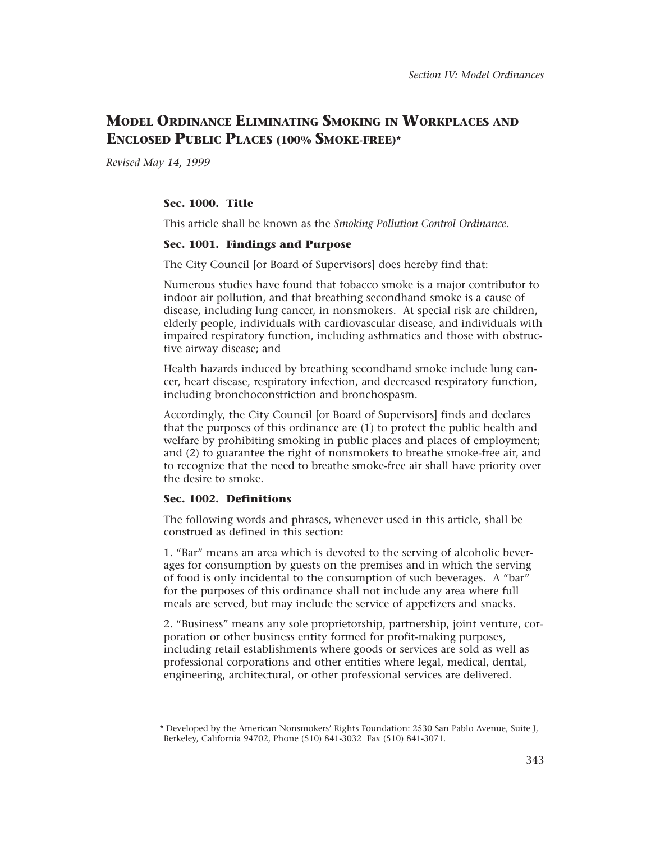# **MODEL ORDINANCE ELIMINATING SMOKING IN WORKPLACES AND ENCLOSED PUBLIC PLACES (100% SMOKE-FREE)\***

*Revised May 14, 1999* 

# **Sec. 1000. Title**

This article shall be known as the *Smoking Pollution Control Ordinance*.

# **Sec. 1001. Findings and Purpose**

The City Council [or Board of Supervisors] does hereby find that:

Numerous studies have found that tobacco smoke is a major contributor to indoor air pollution, and that breathing secondhand smoke is a cause of disease, including lung cancer, in nonsmokers. At special risk are children, elderly people, individuals with cardiovascular disease, and individuals with impaired respiratory function, including asthmatics and those with obstructive airway disease; and

Health hazards induced by breathing secondhand smoke include lung cancer, heart disease, respiratory infection, and decreased respiratory function, including bronchoconstriction and bronchospasm.

Accordingly, the City Council [or Board of Supervisors] finds and declares that the purposes of this ordinance are (1) to protect the public health and welfare by prohibiting smoking in public places and places of employment; and (2) to guarantee the right of nonsmokers to breathe smoke-free air, and to recognize that the need to breathe smoke-free air shall have priority over the desire to smoke.

# **Sec. 1002. Definitions**

The following words and phrases, whenever used in this article, shall be construed as defined in this section:

1. "Bar" means an area which is devoted to the serving of alcoholic beverages for consumption by guests on the premises and in which the serving of food is only incidental to the consumption of such beverages. A "bar" for the purposes of this ordinance shall not include any area where full meals are served, but may include the service of appetizers and snacks.

2. "Business" means any sole proprietorship, partnership, joint venture, corporation or other business entity formed for profit-making purposes, including retail establishments where goods or services are sold as well as professional corporations and other entities where legal, medical, dental, engineering, architectural, or other professional services are delivered.

<sup>\*</sup> Developed by the American Nonsmokers' Rights Foundation: 2530 San Pablo Avenue, Suite J, Berkeley, California 94702, Phone (510) 841-3032 Fax (510) 841-3071.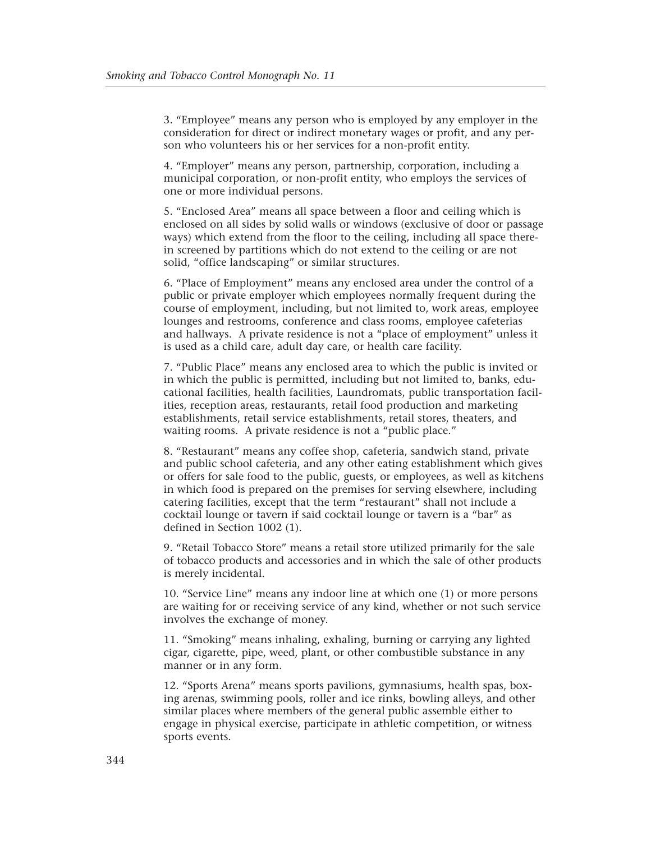3. "Employee" means any person who is employed by any employer in the consideration for direct or indirect monetary wages or profit, and any person who volunteers his or her services for a non-profit entity.

4. "Employer" means any person, partnership, corporation, including a municipal corporation, or non-profit entity, who employs the services of one or more individual persons.

5. "Enclosed Area" means all space between a floor and ceiling which is enclosed on all sides by solid walls or windows (exclusive of door or passage ways) which extend from the floor to the ceiling, including all space therein screened by partitions which do not extend to the ceiling or are not solid, "office landscaping" or similar structures.

6. "Place of Employment" means any enclosed area under the control of a public or private employer which employees normally frequent during the course of employment, including, but not limited to, work areas, employee lounges and restrooms, conference and class rooms, employee cafeterias and hallways. A private residence is not a "place of employment" unless it is used as a child care, adult day care, or health care facility.

7. "Public Place" means any enclosed area to which the public is invited or in which the public is permitted, including but not limited to, banks, educational facilities, health facilities, Laundromats, public transportation facilities, reception areas, restaurants, retail food production and marketing establishments, retail service establishments, retail stores, theaters, and waiting rooms. A private residence is not a "public place."

8. "Restaurant" means any coffee shop, cafeteria, sandwich stand, private and public school cafeteria, and any other eating establishment which gives or offers for sale food to the public, guests, or employees, as well as kitchens in which food is prepared on the premises for serving elsewhere, including catering facilities, except that the term "restaurant" shall not include a cocktail lounge or tavern if said cocktail lounge or tavern is a "bar" as defined in Section 1002 (1).

9. "Retail Tobacco Store" means a retail store utilized primarily for the sale of tobacco products and accessories and in which the sale of other products is merely incidental.

10. "Service Line" means any indoor line at which one (1) or more persons are waiting for or receiving service of any kind, whether or not such service involves the exchange of money.

11. "Smoking" means inhaling, exhaling, burning or carrying any lighted cigar, cigarette, pipe, weed, plant, or other combustible substance in any manner or in any form.

12. "Sports Arena" means sports pavilions, gymnasiums, health spas, boxing arenas, swimming pools, roller and ice rinks, bowling alleys, and other similar places where members of the general public assemble either to engage in physical exercise, participate in athletic competition, or witness sports events.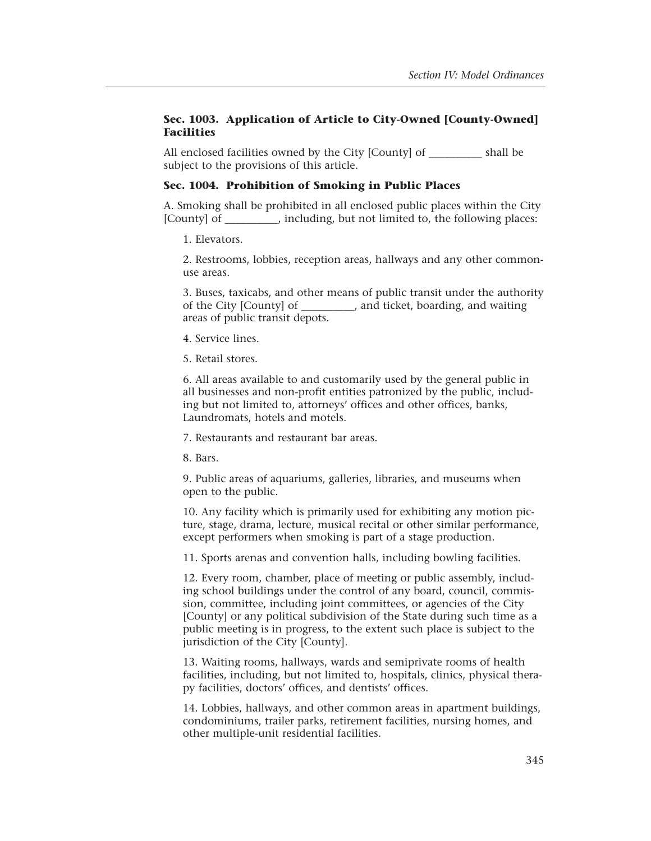# **Sec. 1003. Application of Article to City-Owned [County-Owned] Facilities**

All enclosed facilities owned by the City [County] of \_\_\_\_\_\_\_\_\_\_\_ shall be subject to the provisions of this article.

# **Sec. 1004. Prohibition of Smoking in Public Places**

A. Smoking shall be prohibited in all enclosed public places within the City [County] of \_\_\_\_\_\_\_\_\_\_, including, but not limited to, the following places:

1. Elevators.

2. Restrooms, lobbies, reception areas, hallways and any other commonuse areas.

3. Buses, taxicabs, and other means of public transit under the authority of the City [County] of \_\_\_\_\_\_\_\_\_\_, and ticket, boarding, and waiting areas of public transit depots.

4. Service lines.

5. Retail stores.

6. All areas available to and customarily used by the general public in all businesses and non-profit entities patronized by the public, including but not limited to, attorneys' offices and other offices, banks, Laundromats, hotels and motels.

7. Restaurants and restaurant bar areas.

8. Bars.

9. Public areas of aquariums, galleries, libraries, and museums when open to the public.

10. Any facility which is primarily used for exhibiting any motion picture, stage, drama, lecture, musical recital or other similar performance, except performers when smoking is part of a stage production.

11. Sports arenas and convention halls, including bowling facilities.

12. Every room, chamber, place of meeting or public assembly, including school buildings under the control of any board, council, commission, committee, including joint committees, or agencies of the City [County] or any political subdivision of the State during such time as a public meeting is in progress, to the extent such place is subject to the jurisdiction of the City [County].

13. Waiting rooms, hallways, wards and semiprivate rooms of health facilities, including, but not limited to, hospitals, clinics, physical therapy facilities, doctors' offices, and dentists' offices.

14. Lobbies, hallways, and other common areas in apartment buildings, condominiums, trailer parks, retirement facilities, nursing homes, and other multiple-unit residential facilities.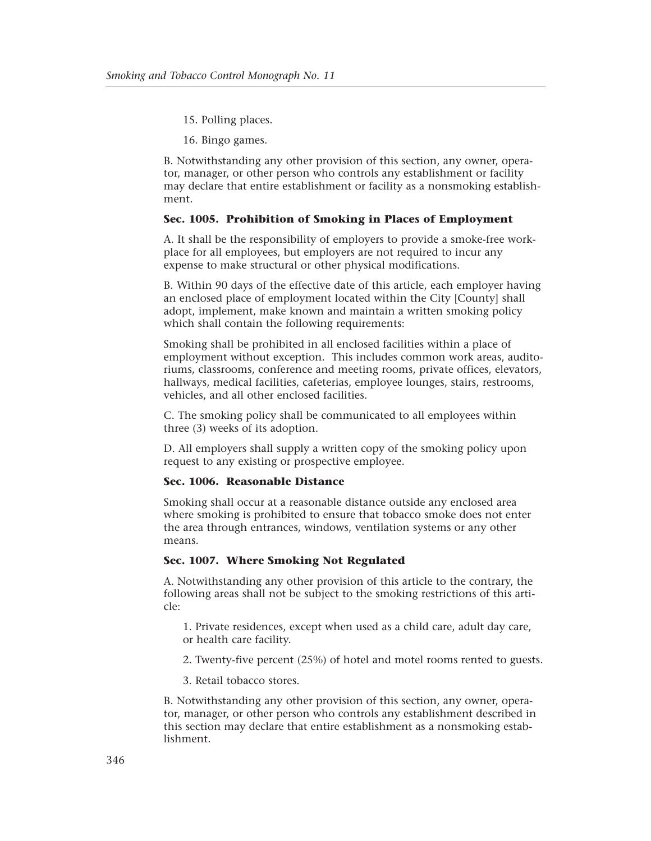15. Polling places.

16. Bingo games.

B. Notwithstanding any other provision of this section, any owner, operator, manager, or other person who controls any establishment or facility may declare that entire establishment or facility as a nonsmoking establishment.

# **Sec. 1005. Prohibition of Smoking in Places of Employment**

A. It shall be the responsibility of employers to provide a smoke-free workplace for all employees, but employers are not required to incur any expense to make structural or other physical modifications.

B. Within 90 days of the effective date of this article, each employer having an enclosed place of employment located within the City [County] shall adopt, implement, make known and maintain a written smoking policy which shall contain the following requirements:

Smoking shall be prohibited in all enclosed facilities within a place of employment without exception. This includes common work areas, auditoriums, classrooms, conference and meeting rooms, private offices, elevators, hallways, medical facilities, cafeterias, employee lounges, stairs, restrooms, vehicles, and all other enclosed facilities.

C. The smoking policy shall be communicated to all employees within three (3) weeks of its adoption.

D. All employers shall supply a written copy of the smoking policy upon request to any existing or prospective employee.

#### **Sec. 1006. Reasonable Distance**

Smoking shall occur at a reasonable distance outside any enclosed area where smoking is prohibited to ensure that tobacco smoke does not enter the area through entrances, windows, ventilation systems or any other means.

# **Sec. 1007. Where Smoking Not Regulated**

A. Notwithstanding any other provision of this article to the contrary, the following areas shall not be subject to the smoking restrictions of this article:

1. Private residences, except when used as a child care, adult day care, or health care facility.

2. Twenty-five percent (25%) of hotel and motel rooms rented to guests.

3. Retail tobacco stores.

B. Notwithstanding any other provision of this section, any owner, operator, manager, or other person who controls any establishment described in this section may declare that entire establishment as a nonsmoking establishment.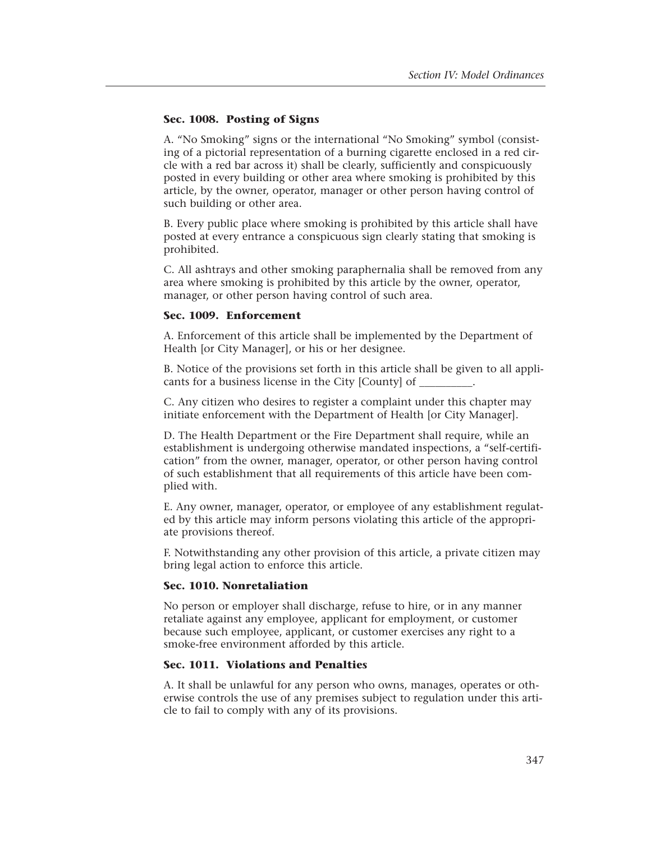# **Sec. 1008. Posting of Signs**

A. "No Smoking" signs or the international "No Smoking" symbol (consisting of a pictorial representation of a burning cigarette enclosed in a red circle with a red bar across it) shall be clearly, sufficiently and conspicuously posted in every building or other area where smoking is prohibited by this article, by the owner, operator, manager or other person having control of such building or other area.

B. Every public place where smoking is prohibited by this article shall have posted at every entrance a conspicuous sign clearly stating that smoking is prohibited.

C. All ashtrays and other smoking paraphernalia shall be removed from any area where smoking is prohibited by this article by the owner, operator, manager, or other person having control of such area.

# **Sec. 1009. Enforcement**

A. Enforcement of this article shall be implemented by the Department of Health [or City Manager], or his or her designee.

B. Notice of the provisions set forth in this article shall be given to all applicants for a business license in the City [County] of \_\_\_\_\_\_\_\_\_\_.

C. Any citizen who desires to register a complaint under this chapter may initiate enforcement with the Department of Health [or City Manager].

D. The Health Department or the Fire Department shall require, while an establishment is undergoing otherwise mandated inspections, a "self-certification" from the owner, manager, operator, or other person having control of such establishment that all requirements of this article have been complied with.

E. Any owner, manager, operator, or employee of any establishment regulated by this article may inform persons violating this article of the appropriate provisions thereof.

F. Notwithstanding any other provision of this article, a private citizen may bring legal action to enforce this article.

#### **Sec. 1010. Nonretaliation**

No person or employer shall discharge, refuse to hire, or in any manner retaliate against any employee, applicant for employment, or customer because such employee, applicant, or customer exercises any right to a smoke-free environment afforded by this article.

# **Sec. 1011. Violations and Penalties**

A. It shall be unlawful for any person who owns, manages, operates or otherwise controls the use of any premises subject to regulation under this article to fail to comply with any of its provisions.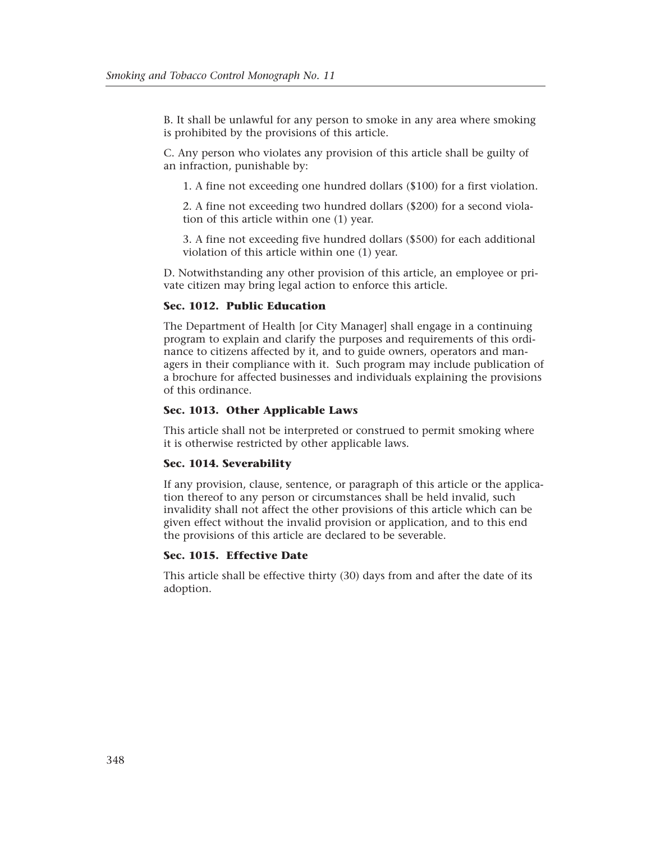B. It shall be unlawful for any person to smoke in any area where smoking is prohibited by the provisions of this article.

C. Any person who violates any provision of this article shall be guilty of an infraction, punishable by:

1. A fine not exceeding one hundred dollars (\$100) for a first violation.

2. A fine not exceeding two hundred dollars (\$200) for a second violation of this article within one (1) year.

3. A fine not exceeding five hundred dollars (\$500) for each additional violation of this article within one (1) year.

D. Notwithstanding any other provision of this article, an employee or private citizen may bring legal action to enforce this article.

#### **Sec. 1012. Public Education**

The Department of Health [or City Manager] shall engage in a continuing program to explain and clarify the purposes and requirements of this ordinance to citizens affected by it, and to guide owners, operators and managers in their compliance with it. Such program may include publication of a brochure for affected businesses and individuals explaining the provisions of this ordinance.

# **Sec. 1013. Other Applicable Laws**

This article shall not be interpreted or construed to permit smoking where it is otherwise restricted by other applicable laws.

#### **Sec. 1014. Severability**

If any provision, clause, sentence, or paragraph of this article or the application thereof to any person or circumstances shall be held invalid, such invalidity shall not affect the other provisions of this article which can be given effect without the invalid provision or application, and to this end the provisions of this article are declared to be severable.

# **Sec. 1015. Effective Date**

This article shall be effective thirty (30) days from and after the date of its adoption.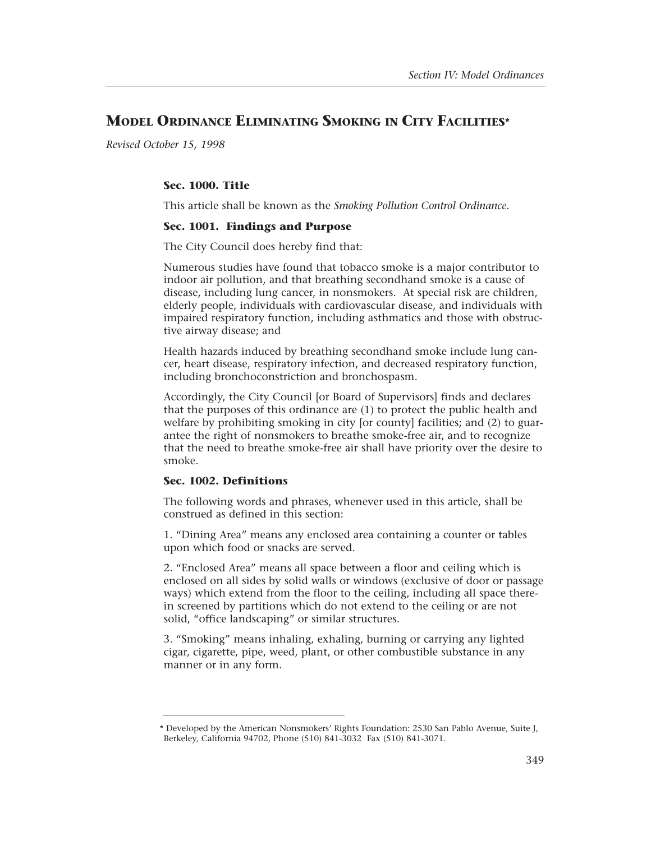# **MODEL ORDINANCE ELIMINATING SMOKING IN CITY FACILITIES\***

*Revised October 15, 1998* 

# **Sec. 1000. Title**

This article shall be known as the *Smoking Pollution Control Ordinance*.

# **Sec. 1001. Findings and Purpose**

The City Council does hereby find that:

Numerous studies have found that tobacco smoke is a major contributor to indoor air pollution, and that breathing secondhand smoke is a cause of disease, including lung cancer, in nonsmokers. At special risk are children, elderly people, individuals with cardiovascular disease, and individuals with impaired respiratory function, including asthmatics and those with obstructive airway disease; and

Health hazards induced by breathing secondhand smoke include lung cancer, heart disease, respiratory infection, and decreased respiratory function, including bronchoconstriction and bronchospasm.

Accordingly, the City Council [or Board of Supervisors] finds and declares that the purposes of this ordinance are (1) to protect the public health and welfare by prohibiting smoking in city [or county] facilities; and (2) to guarantee the right of nonsmokers to breathe smoke-free air, and to recognize that the need to breathe smoke-free air shall have priority over the desire to smoke.

# **Sec. 1002. Definitions**

The following words and phrases, whenever used in this article, shall be construed as defined in this section:

1. "Dining Area" means any enclosed area containing a counter or tables upon which food or snacks are served.

2. "Enclosed Area" means all space between a floor and ceiling which is enclosed on all sides by solid walls or windows (exclusive of door or passage ways) which extend from the floor to the ceiling, including all space therein screened by partitions which do not extend to the ceiling or are not solid, "office landscaping" or similar structures.

3. "Smoking" means inhaling, exhaling, burning or carrying any lighted cigar, cigarette, pipe, weed, plant, or other combustible substance in any manner or in any form.

<sup>\*</sup> Developed by the American Nonsmokers' Rights Foundation: 2530 San Pablo Avenue, Suite J, Berkeley, California 94702, Phone (510) 841-3032 Fax (510) 841-3071.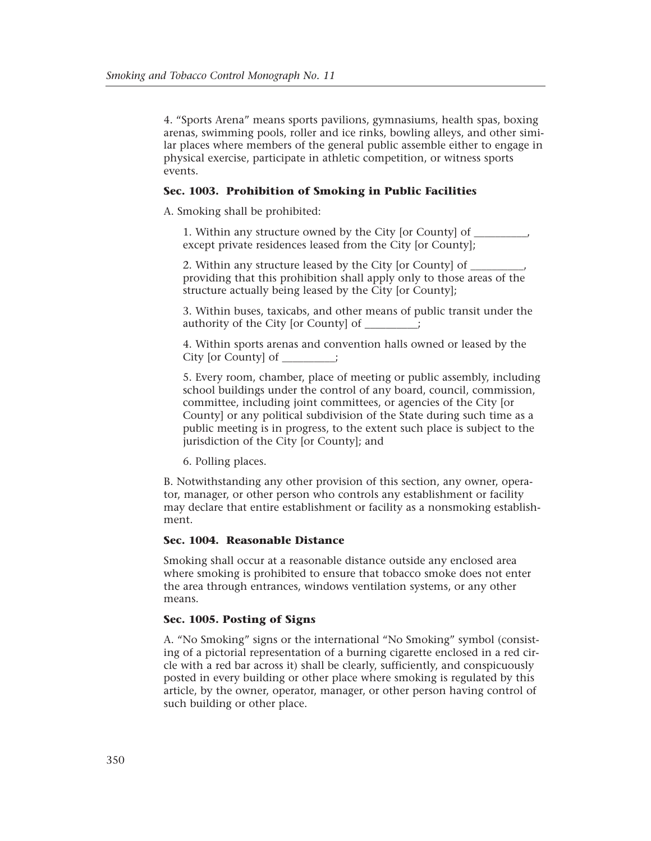4. "Sports Arena" means sports pavilions, gymnasiums, health spas, boxing arenas, swimming pools, roller and ice rinks, bowling alleys, and other similar places where members of the general public assemble either to engage in physical exercise, participate in athletic competition, or witness sports events.

# **Sec. 1003. Prohibition of Smoking in Public Facilities**

A. Smoking shall be prohibited:

1. Within any structure owned by the City [or County] of except private residences leased from the City [or County];

2. Within any structure leased by the City [or County] of providing that this prohibition shall apply only to those areas of the structure actually being leased by the City [or County];

3. Within buses, taxicabs, and other means of public transit under the authority of the City [or County] of

4. Within sports arenas and convention halls owned or leased by the City [or County] of \_\_\_\_\_\_\_\_\_\_;

5. Every room, chamber, place of meeting or public assembly, including school buildings under the control of any board, council, commission, committee, including joint committees, or agencies of the City [or County] or any political subdivision of the State during such time as a public meeting is in progress, to the extent such place is subject to the jurisdiction of the City [or County]; and

6. Polling places.

B. Notwithstanding any other provision of this section, any owner, operator, manager, or other person who controls any establishment or facility may declare that entire establishment or facility as a nonsmoking establishment.

# **Sec. 1004. Reasonable Distance**

Smoking shall occur at a reasonable distance outside any enclosed area where smoking is prohibited to ensure that tobacco smoke does not enter the area through entrances, windows ventilation systems, or any other means.

# **Sec. 1005. Posting of Signs**

A. "No Smoking" signs or the international "No Smoking" symbol (consisting of a pictorial representation of a burning cigarette enclosed in a red circle with a red bar across it) shall be clearly, sufficiently, and conspicuously posted in every building or other place where smoking is regulated by this article, by the owner, operator, manager, or other person having control of such building or other place.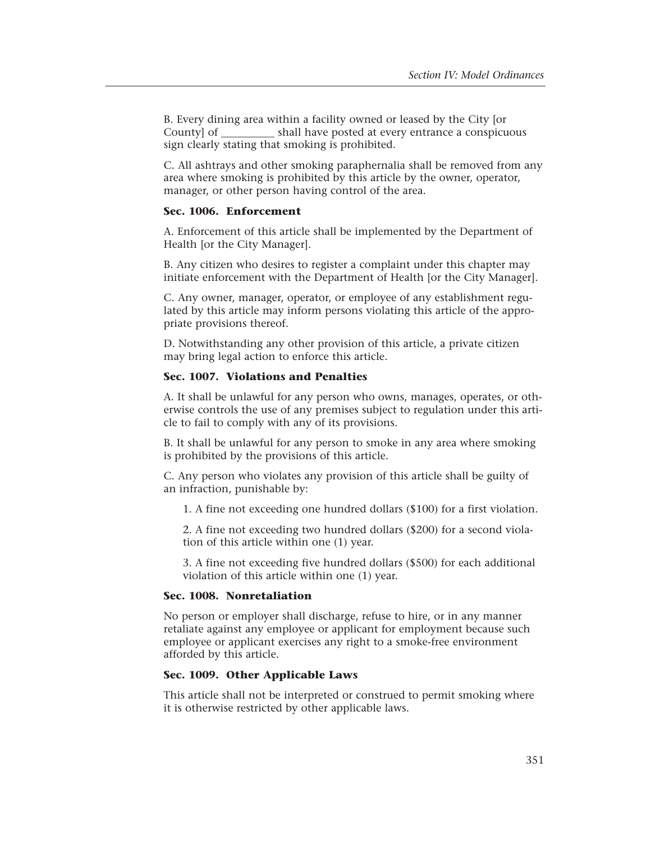B. Every dining area within a facility owned or leased by the City [or County] of shall have posted at every entrance a conspicuous sign clearly stating that smoking is prohibited.

C. All ashtrays and other smoking paraphernalia shall be removed from any area where smoking is prohibited by this article by the owner, operator, manager, or other person having control of the area.

# **Sec. 1006. Enforcement**

A. Enforcement of this article shall be implemented by the Department of Health [or the City Manager].

B. Any citizen who desires to register a complaint under this chapter may initiate enforcement with the Department of Health [or the City Manager].

C. Any owner, manager, operator, or employee of any establishment regulated by this article may inform persons violating this article of the appropriate provisions thereof.

D. Notwithstanding any other provision of this article, a private citizen may bring legal action to enforce this article.

# **Sec. 1007. Violations and Penalties**

A. It shall be unlawful for any person who owns, manages, operates, or otherwise controls the use of any premises subject to regulation under this article to fail to comply with any of its provisions.

B. It shall be unlawful for any person to smoke in any area where smoking is prohibited by the provisions of this article.

C. Any person who violates any provision of this article shall be guilty of an infraction, punishable by:

1. A fine not exceeding one hundred dollars (\$100) for a first violation.

2. A fine not exceeding two hundred dollars (\$200) for a second violation of this article within one (1) year.

3. A fine not exceeding five hundred dollars (\$500) for each additional violation of this article within one (1) year.

# **Sec. 1008. Nonretaliation**

No person or employer shall discharge, refuse to hire, or in any manner retaliate against any employee or applicant for employment because such employee or applicant exercises any right to a smoke-free environment afforded by this article.

# **Sec. 1009. Other Applicable Laws**

This article shall not be interpreted or construed to permit smoking where it is otherwise restricted by other applicable laws.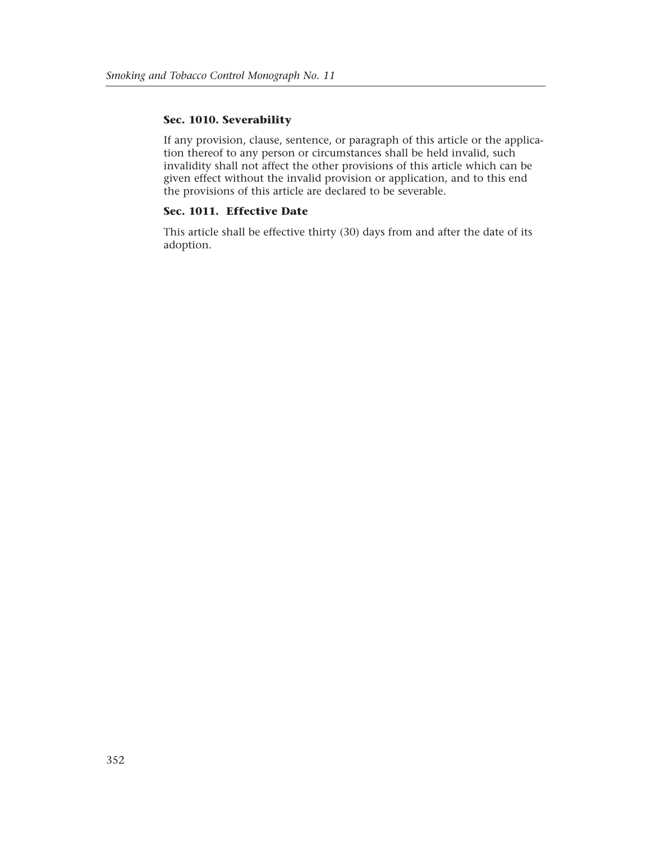# **Sec. 1010. Severability**

If any provision, clause, sentence, or paragraph of this article or the application thereof to any person or circumstances shall be held invalid, such invalidity shall not affect the other provisions of this article which can be given effect without the invalid provision or application, and to this end the provisions of this article are declared to be severable.

# **Sec. 1011. Effective Date**

This article shall be effective thirty (30) days from and after the date of its adoption.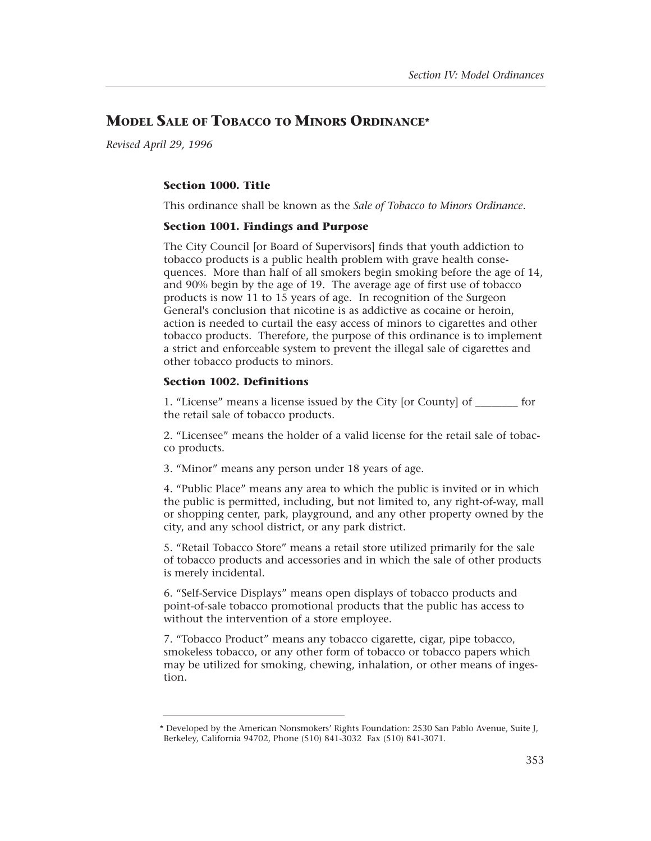# **MODEL SALE OF TOBACCO TO MINORS ORDINANCE\***

*Revised April 29, 1996* 

# **Section 1000. Title**

This ordinance shall be known as the *Sale of Tobacco to Minors Ordinance*.

# **Section 1001. Findings and Purpose**

The City Council [or Board of Supervisors] finds that youth addiction to tobacco products is a public health problem with grave health consequences. More than half of all smokers begin smoking before the age of 14, and 90% begin by the age of 19. The average age of first use of tobacco products is now 11 to 15 years of age. In recognition of the Surgeon General's conclusion that nicotine is as addictive as cocaine or heroin, action is needed to curtail the easy access of minors to cigarettes and other tobacco products. Therefore, the purpose of this ordinance is to implement a strict and enforceable system to prevent the illegal sale of cigarettes and other tobacco products to minors.

# **Section 1002. Definitions**

1. "License" means a license issued by the City [or County] of \_\_\_\_\_\_\_\_ for the retail sale of tobacco products.

2. "Licensee" means the holder of a valid license for the retail sale of tobacco products.

3. "Minor" means any person under 18 years of age.

4. "Public Place" means any area to which the public is invited or in which the public is permitted, including, but not limited to, any right-of-way, mall or shopping center, park, playground, and any other property owned by the city, and any school district, or any park district.

5. "Retail Tobacco Store" means a retail store utilized primarily for the sale of tobacco products and accessories and in which the sale of other products is merely incidental.

6. "Self-Service Displays" means open displays of tobacco products and point-of-sale tobacco promotional products that the public has access to without the intervention of a store employee.

7. "Tobacco Product" means any tobacco cigarette, cigar, pipe tobacco, smokeless tobacco, or any other form of tobacco or tobacco papers which may be utilized for smoking, chewing, inhalation, or other means of ingestion.

<sup>\*</sup> Developed by the American Nonsmokers' Rights Foundation: 2530 San Pablo Avenue, Suite J, Berkeley, California 94702, Phone (510) 841-3032 Fax (510) 841-3071.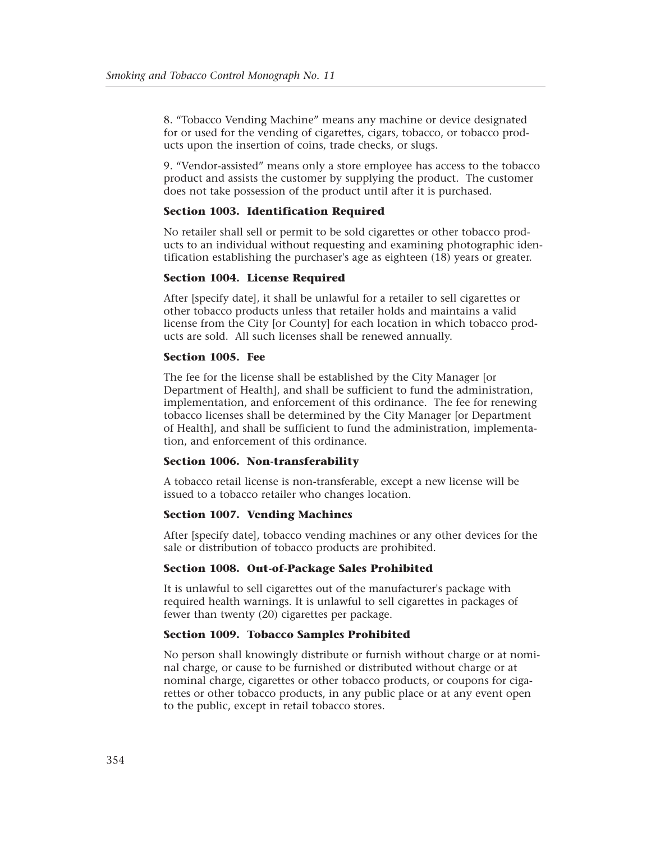8. "Tobacco Vending Machine" means any machine or device designated for or used for the vending of cigarettes, cigars, tobacco, or tobacco products upon the insertion of coins, trade checks, or slugs.

9. "Vendor-assisted" means only a store employee has access to the tobacco product and assists the customer by supplying the product. The customer does not take possession of the product until after it is purchased.

# **Section 1003. Identification Required**

No retailer shall sell or permit to be sold cigarettes or other tobacco products to an individual without requesting and examining photographic identification establishing the purchaser's age as eighteen (18) years or greater.

# **Section 1004. License Required**

After [specify date], it shall be unlawful for a retailer to sell cigarettes or other tobacco products unless that retailer holds and maintains a valid license from the City [or County] for each location in which tobacco products are sold. All such licenses shall be renewed annually.

# **Section 1005. Fee**

The fee for the license shall be established by the City Manager [or Department of Health], and shall be sufficient to fund the administration, implementation, and enforcement of this ordinance. The fee for renewing tobacco licenses shall be determined by the City Manager [or Department of Health], and shall be sufficient to fund the administration, implementation, and enforcement of this ordinance.

# **Section 1006. Non-transferability**

A tobacco retail license is non-transferable, except a new license will be issued to a tobacco retailer who changes location.

# **Section 1007. Vending Machines**

After [specify date], tobacco vending machines or any other devices for the sale or distribution of tobacco products are prohibited.

#### **Section 1008. Out-of-Package Sales Prohibited**

It is unlawful to sell cigarettes out of the manufacturer's package with required health warnings. It is unlawful to sell cigarettes in packages of fewer than twenty (20) cigarettes per package.

# **Section 1009. Tobacco Samples Prohibited**

No person shall knowingly distribute or furnish without charge or at nominal charge, or cause to be furnished or distributed without charge or at nominal charge, cigarettes or other tobacco products, or coupons for cigarettes or other tobacco products, in any public place or at any event open to the public, except in retail tobacco stores.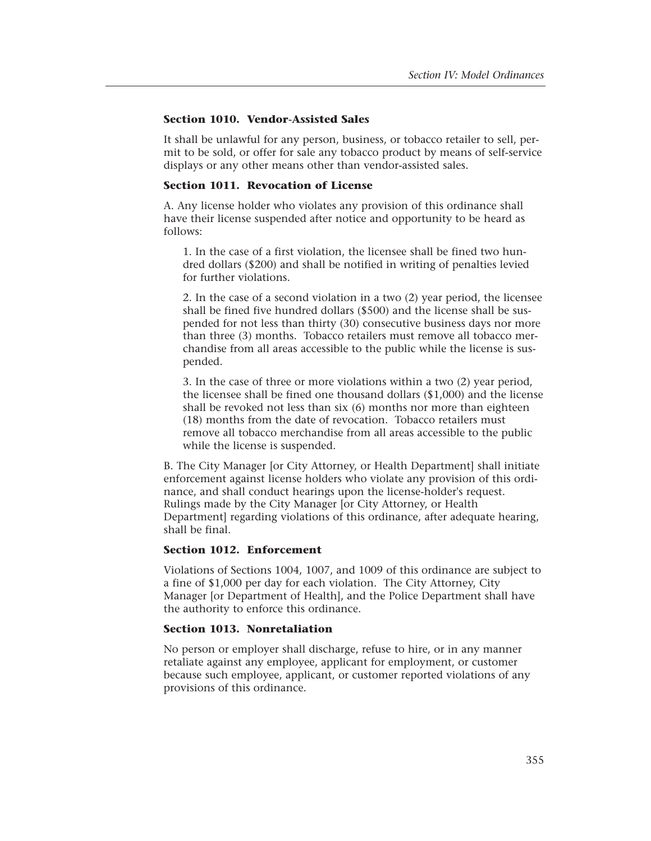# **Section 1010. Vendor-Assisted Sales**

It shall be unlawful for any person, business, or tobacco retailer to sell, permit to be sold, or offer for sale any tobacco product by means of self-service displays or any other means other than vendor-assisted sales.

#### **Section 1011. Revocation of License**

A. Any license holder who violates any provision of this ordinance shall have their license suspended after notice and opportunity to be heard as follows:

1. In the case of a first violation, the licensee shall be fined two hundred dollars (\$200) and shall be notified in writing of penalties levied for further violations.

2. In the case of a second violation in a two (2) year period, the licensee shall be fined five hundred dollars (\$500) and the license shall be suspended for not less than thirty (30) consecutive business days nor more than three (3) months. Tobacco retailers must remove all tobacco merchandise from all areas accessible to the public while the license is suspended.

3. In the case of three or more violations within a two (2) year period, the licensee shall be fined one thousand dollars (\$1,000) and the license shall be revoked not less than six (6) months nor more than eighteen (18) months from the date of revocation. Tobacco retailers must remove all tobacco merchandise from all areas accessible to the public while the license is suspended.

B. The City Manager [or City Attorney, or Health Department] shall initiate enforcement against license holders who violate any provision of this ordinance, and shall conduct hearings upon the license-holder's request. Rulings made by the City Manager [or City Attorney, or Health Department] regarding violations of this ordinance, after adequate hearing, shall be final.

# **Section 1012. Enforcement**

Violations of Sections 1004, 1007, and 1009 of this ordinance are subject to a fine of \$1,000 per day for each violation. The City Attorney, City Manager [or Department of Health], and the Police Department shall have the authority to enforce this ordinance.

# **Section 1013. Nonretaliation**

No person or employer shall discharge, refuse to hire, or in any manner retaliate against any employee, applicant for employment, or customer because such employee, applicant, or customer reported violations of any provisions of this ordinance.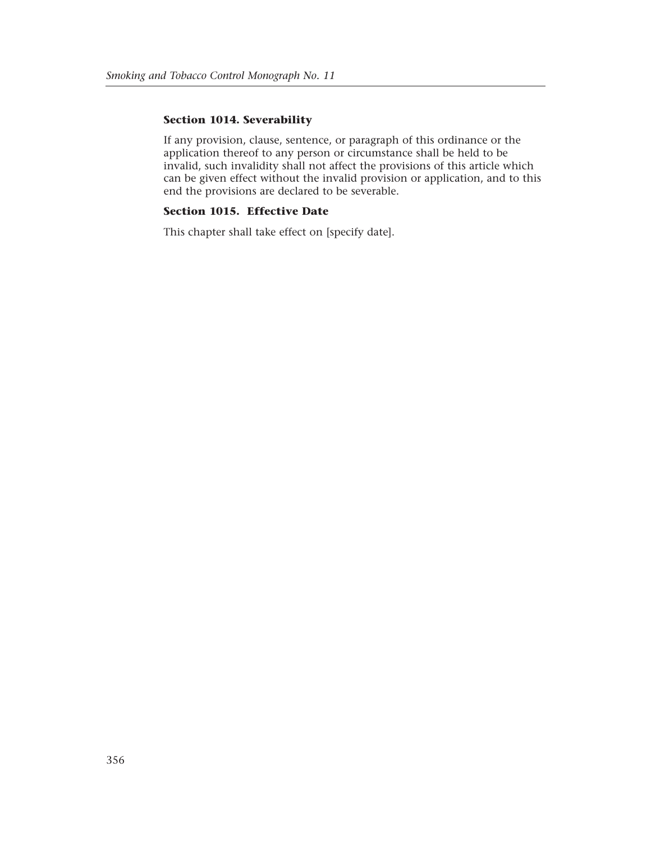# **Section 1014. Severability**

If any provision, clause, sentence, or paragraph of this ordinance or the application thereof to any person or circumstance shall be held to be invalid, such invalidity shall not affect the provisions of this article which can be given effect without the invalid provision or application, and to this end the provisions are declared to be severable.

# **Section 1015. Effective Date**

This chapter shall take effect on [specify date].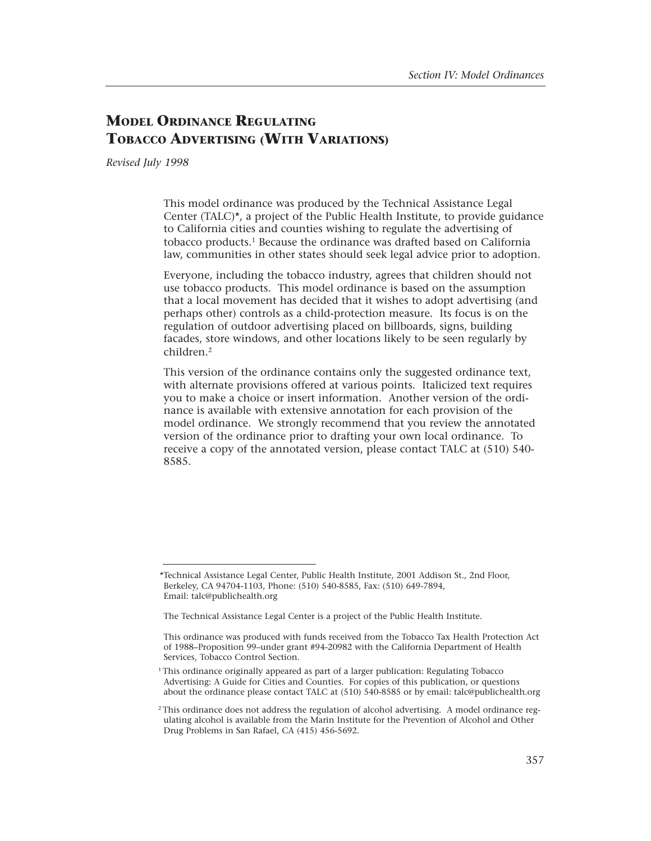# **MODEL ORDINANCE REGULATING TOBACCO ADVERTISING (WITH VARIATIONS)**

*Revised July 1998* 

This model ordinance was produced by the Technical Assistance Legal Center (TALC)\*, a project of the Public Health Institute, to provide guidance to California cities and counties wishing to regulate the advertising of tobacco products.1 Because the ordinance was drafted based on California law, communities in other states should seek legal advice prior to adoption.

Everyone, including the tobacco industry, agrees that children should not use tobacco products. This model ordinance is based on the assumption that a local movement has decided that it wishes to adopt advertising (and perhaps other) controls as a child-protection measure. Its focus is on the regulation of outdoor advertising placed on billboards, signs, building facades, store windows, and other locations likely to be seen regularly by children.2

This version of the ordinance contains only the suggested ordinance text, with alternate provisions offered at various points. Italicized text requires you to make a choice or insert information. Another version of the ordinance is available with extensive annotation for each provision of the model ordinance. We strongly recommend that you review the annotated version of the ordinance prior to drafting your own local ordinance. To receive a copy of the annotated version, please contact TALC at (510) 540 8585.

<sup>\*</sup>Technical Assistance Legal Center, Public Health Institute, 2001 Addison St., 2nd Floor, Berkeley, CA 94704-1103, Phone: (510) 540-8585, Fax: (510) 649-7894, Email: talc@publichealth.org

The Technical Assistance Legal Center is a project of the Public Health Institute.

This ordinance was produced with funds received from the Tobacco Tax Health Protection Act of 1988–Proposition 99–under grant #94-20982 with the California Department of Health Services, Tobacco Control Section.

<sup>&</sup>lt;sup>1</sup>This ordinance originally appeared as part of a larger publication: Regulating Tobacco Advertising: A Guide for Cities and Counties. For copies of this publication, or questions about the ordinance please contact TALC at (510) 540-8585 or by email: talc@publichealth.org

<sup>2</sup> This ordinance does not address the regulation of alcohol advertising. A model ordinance regulating alcohol is available from the Marin Institute for the Prevention of Alcohol and Other Drug Problems in San Rafael, CA (415) 456-5692.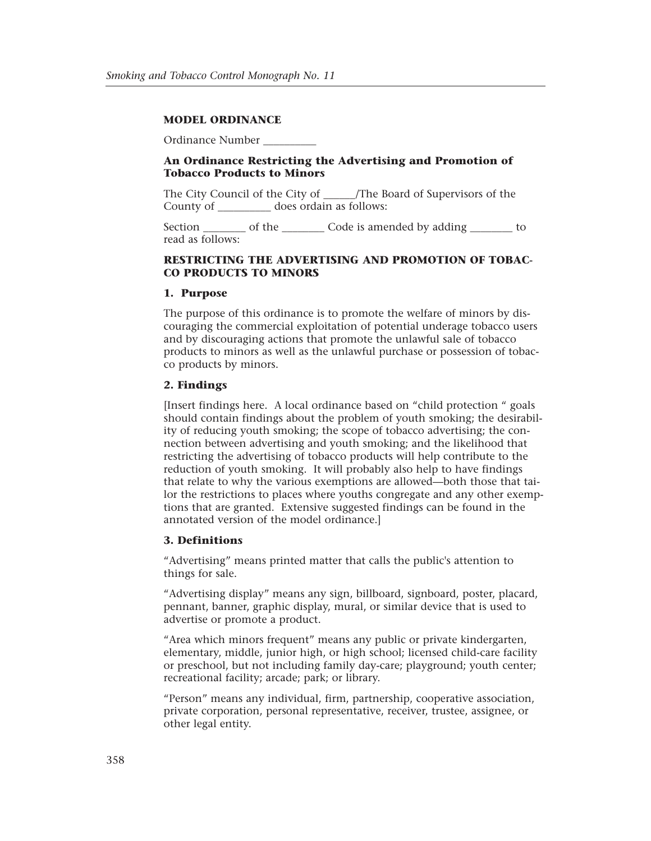# **MODEL ORDINANCE**

Ordinance Number \_\_\_\_\_\_\_\_\_\_

# **An Ordinance Restricting the Advertising and Promotion of Tobacco Products to Minors**

The City Council of the City of The Board of Supervisors of the County of does ordain as follows:

Section \_\_\_\_\_\_\_\_\_ of the \_\_\_\_\_\_\_\_\_\_ Code is amended by adding \_\_\_\_\_\_\_\_\_ to read as follows:

# **RESTRICTING THE ADVERTISING AND PROMOTION OF TOBAC-CO PRODUCTS TO MINORS**

#### **1. Purpose**

The purpose of this ordinance is to promote the welfare of minors by discouraging the commercial exploitation of potential underage tobacco users and by discouraging actions that promote the unlawful sale of tobacco products to minors as well as the unlawful purchase or possession of tobacco products by minors.

# **2. Findings**

[Insert findings here. A local ordinance based on "child protection " goals should contain findings about the problem of youth smoking; the desirability of reducing youth smoking; the scope of tobacco advertising; the connection between advertising and youth smoking; and the likelihood that restricting the advertising of tobacco products will help contribute to the reduction of youth smoking. It will probably also help to have findings that relate to why the various exemptions are allowed—both those that tailor the restrictions to places where youths congregate and any other exemptions that are granted. Extensive suggested findings can be found in the annotated version of the model ordinance.]

#### **3. Definitions**

"Advertising" means printed matter that calls the public's attention to things for sale.

"Advertising display" means any sign, billboard, signboard, poster, placard, pennant, banner, graphic display, mural, or similar device that is used to advertise or promote a product.

"Area which minors frequent" means any public or private kindergarten, elementary, middle, junior high, or high school; licensed child-care facility or preschool, but not including family day-care; playground; youth center; recreational facility; arcade; park; or library.

"Person" means any individual, firm, partnership, cooperative association, private corporation, personal representative, receiver, trustee, assignee, or other legal entity.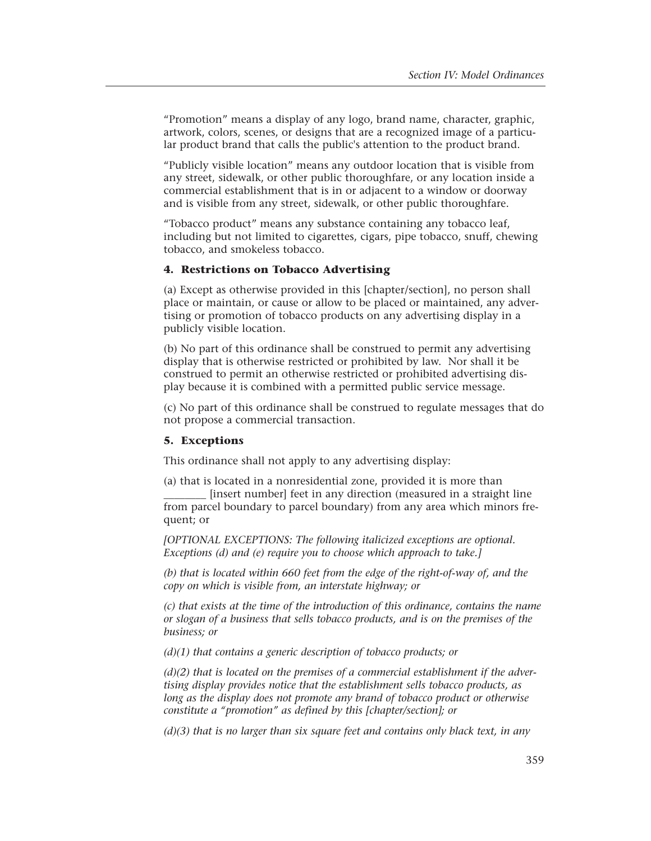"Promotion" means a display of any logo, brand name, character, graphic, artwork, colors, scenes, or designs that are a recognized image of a particular product brand that calls the public's attention to the product brand.

"Publicly visible location" means any outdoor location that is visible from any street, sidewalk, or other public thoroughfare, or any location inside a commercial establishment that is in or adjacent to a window or doorway and is visible from any street, sidewalk, or other public thoroughfare.

"Tobacco product" means any substance containing any tobacco leaf, including but not limited to cigarettes, cigars, pipe tobacco, snuff, chewing tobacco, and smokeless tobacco.

# **4. Restrictions on Tobacco Advertising**

(a) Except as otherwise provided in this [chapter/section], no person shall place or maintain, or cause or allow to be placed or maintained, any advertising or promotion of tobacco products on any advertising display in a publicly visible location.

(b) No part of this ordinance shall be construed to permit any advertising display that is otherwise restricted or prohibited by law. Nor shall it be construed to permit an otherwise restricted or prohibited advertising display because it is combined with a permitted public service message.

(c) No part of this ordinance shall be construed to regulate messages that do not propose a commercial transaction.

#### **5. Exceptions**

This ordinance shall not apply to any advertising display:

(a) that is located in a nonresidential zone, provided it is more than \_\_\_\_\_\_\_\_ [insert number] feet in any direction (measured in a straight line from parcel boundary to parcel boundary) from any area which minors frequent; or

*[OPTIONAL EXCEPTIONS: The following italicized exceptions are optional. Exceptions (d) and (e) require you to choose which approach to take.]* 

*(b) that is located within 660 feet from the edge of the right-of-way of, and the copy on which is visible from, an interstate highway; or* 

*(c) that exists at the time of the introduction of this ordinance, contains the name or slogan of a business that sells tobacco products, and is on the premises of the business; or* 

*(d)(1) that contains a generic description of tobacco products; or* 

*(d)(2) that is located on the premises of a commercial establishment if the advertising display provides notice that the establishment sells tobacco products, as long as the display does not promote any brand of tobacco product or otherwise constitute a "promotion" as defined by this [chapter/section]; or* 

*(d)(3) that is no larger than six square feet and contains only black text, in any*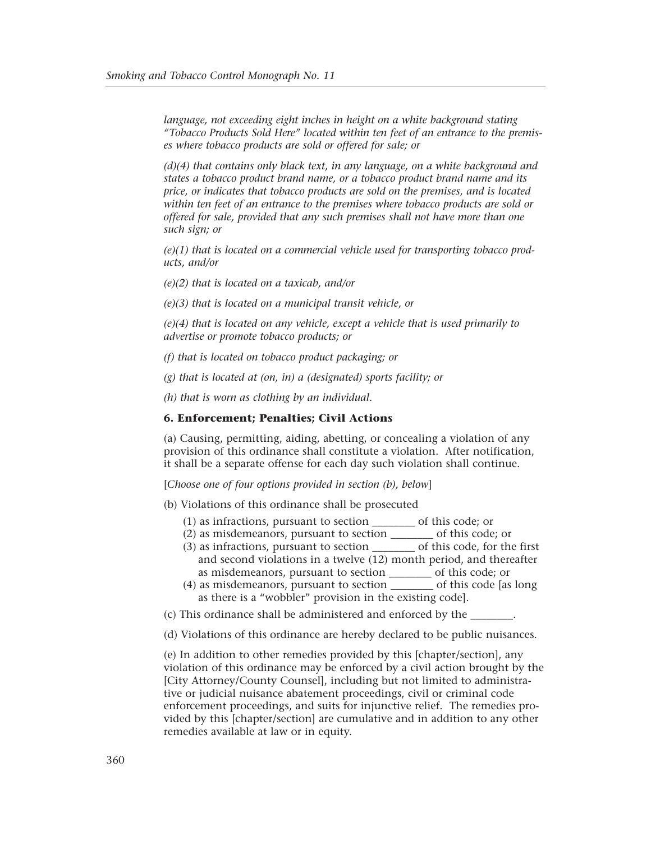*language, not exceeding eight inches in height on a white background stating "Tobacco Products Sold Here" located within ten feet of an entrance to the premises where tobacco products are sold or offered for sale; or* 

*(d)(4) that contains only black text, in any language, on a white background and states a tobacco product brand name, or a tobacco product brand name and its price, or indicates that tobacco products are sold on the premises, and is located within ten feet of an entrance to the premises where tobacco products are sold or offered for sale, provided that any such premises shall not have more than one such sign; or* 

*(e)(1) that is located on a commercial vehicle used for transporting tobacco products, and/or* 

*(e)(2) that is located on a taxicab, and/or* 

*(e)(3) that is located on a municipal transit vehicle, or* 

*(e)(4) that is located on any vehicle, except a vehicle that is used primarily to advertise or promote tobacco products; or* 

*(f) that is located on tobacco product packaging; or* 

*(g) that is located at (on, in) a (designated) sports facility; or* 

*(h) that is worn as clothing by an individual.* 

#### **6. Enforcement; Penalties; Civil Actions**

(a) Causing, permitting, aiding, abetting, or concealing a violation of any provision of this ordinance shall constitute a violation. After notification, it shall be a separate offense for each day such violation shall continue.

[*Choose one of four options provided in section (b), below*]

- (b) Violations of this ordinance shall be prosecuted
	- (1) as infractions, pursuant to section \_\_\_\_\_\_\_\_ of this code; or
	- (2) as misdemeanors, pursuant to section \_\_\_\_\_\_\_\_ of this code; or
	- (3) as infractions, pursuant to section \_\_\_\_\_\_\_\_ of this code, for the first and second violations in a twelve (12) month period, and thereafter as misdemeanors, pursuant to section \_\_\_\_\_\_\_\_ of this code; or
	- (4) as misdemeanors, pursuant to section \_\_\_\_\_\_\_\_ of this code [as long as there is a "wobbler" provision in the existing code].
- (c) This ordinance shall be administered and enforced by the \_\_\_\_\_\_\_\_.
- (d) Violations of this ordinance are hereby declared to be public nuisances.

(e) In addition to other remedies provided by this [chapter/section], any violation of this ordinance may be enforced by a civil action brought by the [City Attorney/County Counsel], including but not limited to administrative or judicial nuisance abatement proceedings, civil or criminal code enforcement proceedings, and suits for injunctive relief. The remedies provided by this [chapter/section] are cumulative and in addition to any other remedies available at law or in equity.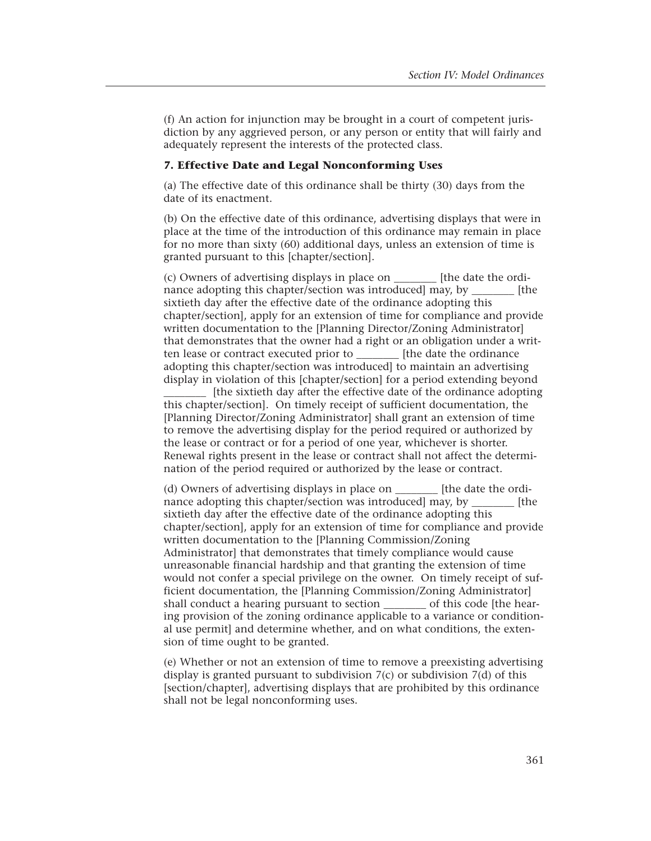(f) An action for injunction may be brought in a court of competent jurisdiction by any aggrieved person, or any person or entity that will fairly and adequately represent the interests of the protected class.

#### **7. Effective Date and Legal Nonconforming Uses**

(a) The effective date of this ordinance shall be thirty (30) days from the date of its enactment.

(b) On the effective date of this ordinance, advertising displays that were in place at the time of the introduction of this ordinance may remain in place for no more than sixty (60) additional days, unless an extension of time is granted pursuant to this [chapter/section].

(c) Owners of advertising displays in place on \_\_\_\_\_\_\_\_ [the date the ordinance adopting this chapter/section was introduced] may, by [the sixtieth day after the effective date of the ordinance adopting this chapter/section], apply for an extension of time for compliance and provide written documentation to the [Planning Director/Zoning Administrator] that demonstrates that the owner had a right or an obligation under a written lease or contract executed prior to \_\_\_\_\_\_\_\_ [the date the ordinance adopting this chapter/section was introduced] to maintain an advertising display in violation of this [chapter/section] for a period extending beyond

\_\_\_\_\_\_\_\_ [the sixtieth day after the effective date of the ordinance adopting this chapter/section]. On timely receipt of sufficient documentation, the [Planning Director/Zoning Administrator] shall grant an extension of time to remove the advertising display for the period required or authorized by the lease or contract or for a period of one year, whichever is shorter. Renewal rights present in the lease or contract shall not affect the determination of the period required or authorized by the lease or contract.

(d) Owners of advertising displays in place on \_\_\_\_\_\_\_\_ [the date the ordinance adopting this chapter/section was introduced] may, by [the sixtieth day after the effective date of the ordinance adopting this chapter/section], apply for an extension of time for compliance and provide written documentation to the [Planning Commission/Zoning Administrator] that demonstrates that timely compliance would cause unreasonable financial hardship and that granting the extension of time would not confer a special privilege on the owner. On timely receipt of sufficient documentation, the [Planning Commission/Zoning Administrator] shall conduct a hearing pursuant to section of this code [the hearing provision of the zoning ordinance applicable to a variance or conditional use permit] and determine whether, and on what conditions, the extension of time ought to be granted.

(e) Whether or not an extension of time to remove a preexisting advertising display is granted pursuant to subdivision 7(c) or subdivision 7(d) of this [section/chapter], advertising displays that are prohibited by this ordinance shall not be legal nonconforming uses.